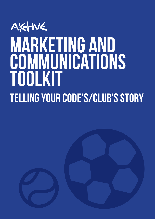# AKTIVE marketing AND **COMMUNICATIONS** ToolkiT Telling your code's/club's story

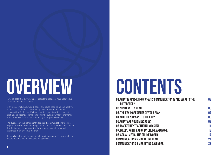# OVERVIEW CONTENTS

How do potential players, fans, supporters, sponsors hear about your code/club and its activities?

In an increasingly busy world, codes and clubs need to be competitive on and off the field. It's about being relevant in your respective communities. To do this, it's important to understand the needs of existing and potential participants/members, know what your offering is and effectively communicate it using appropriate channels.

It is available for codes/clubs to tailor and implement as they see fit to ensure positive and manageable engagement.

The purpose of this generic marketing and communications toolkit is to provide information and templates that will assist codes and clubs in developing and communicating their key messages to targeted audiences in an effective manner.



01. What is Marketing? What is Communications? And what is the difference? 02. Start with a Plan 03. The key ingredients of your plan 04. WHO DO YOU WANT TO TALK TO? 05. What are your messages? 06. Marketing: Traditional & Digital 07. Media: Print, radio, TV, Online and more 08. Social Media: The online world Communications & Marketing Plan Communications & Marketing Calendar

03

06 07

08

09

11

13

17

21 23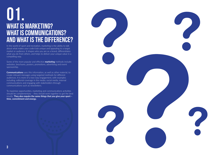In the world of sport and recreation, marketing is the ability to talk about what makes your code/club unique and appealing to a target market or audience. It shapes who you are as a brand, differentiates what you do from others, and helps to deliver your unique value in a compelling way.

Some of the more popular and effective **marketing** methods include: websites, brochures, posters, promotions, advertising and event sponsorship.

# WHAT IS MARKETING? WHAT is COMMUNICATIONS? AND what is THE DIFFERENCE? 01.

**Communications** uses this information, as well as other material, to create relevant messages using targeted methods for different audiences. It is more of a two-way engagement, with examples including: editorial coverage in the media, social media, internal communications and engaging with stakeholders through communications such as newsletters.

To maximise opportunities, marketing and communications activities should be complementary – they should work together to get the best results. **They also require the same things that you give your sport – time, commitment and energy.**

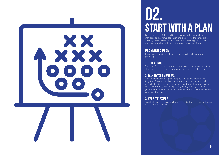# START WITH A PLAN

For the purpose of this toolkit, it is recommended to combine marketing and communications in one plan. A well thought out and carefully developed communications and marketing plan acts like a road map, showing the best routes to get to your destination.

# Planning a plan

Before getting underway here are some tips to help with your

planning;

# 1. Be realistic

Think carefully about your objectives, approach and resourcing. Some strategies can be costly to implement and may not hit the mark.

# 2. Talk to your members

Current members are a great group to tap into and shouldn't be forgotten! Discuss with them what sets your code/club apart, what it offers that is different, and the benefits, and what they would like to hear. This information can help form your key messages and are generally the aspects that attract new members and make people feel good about joining.

# 3. Keep it flexible

An effective plan is flexible, allowing it to adapt to changing audiences, messages and activities.



# 02.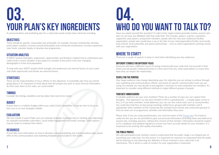A communications and marketing plan for a code/club would contain basic elements including:

# **OBJECTIVES**

These should be specific, measurable and achievable, for example: Increase membership, develop junior player numbers, increase overall participation and community involvement, increase enjoyment, raise funds, maintain loyalty or develop new programmes.

# SITUATION ANALYSIS

A SWOT analysis (strengths, weaknesses, opportunities and threats) is helpful tool to understand your code's/club's current situation. A key aspect to consider at this point is the ever-changing demographics of the local population.

To help with your SWOT anaylsis think strength and weaknesses are internal factors to your code/ club while opportunity and threats are external factors.

# **STRATEGIES**

We love results in sport! Make sure you evaluate strategies to ensure they're meeting your objectives, for example enewsletter subscribers, social media engagement and media coverage. Some aspects may be easier to evaluate than others.

# **RESOURCES**

# your Plan's Key ingredients 03.

These are the tools/activities to focus efforts on the objectives. It essentially asks how you intend going about it. It's important to think about how the people you want to reach find out information – do they read, listen to the radio, use social media?

# Timings

Consider the timings, deadlines and key dates that need to be noted.

# **BUDGET**

Ensure there is a realistic budget within your code's/club's capabilities. It may be wise to focus on low-cost or no-cost strategies initially.

# **EVALUATION**

If you'd like more information on how to develop a simple marketing and communications plan, please refer to the communications and marketing template plan included in this toolkit.

Have you asked yourself this question? A code's/club's target market generally involves anyone who does or can have any affiliation with that code/club. This includes: players, coaches, volunteers, supporters, past players, prospective members, people who live near your clubhouse/facility/ organisation, people who would have a say in the fate of your club/organisation/facility, local media, local schools, local authorities and sports partnerships – such as other organisations working closely with your organisation.

# WHERE TO START?

# WHO DO YOU WANT TO TALK TO? 04.

There are a couple of aspects to keep in mind when identifying your key audiences:

# Different strokes for different folks

Everyone will have a different reason for being involved with your code/club. Put yourself in their shoes and ask people! Understand what it is they want from you, what expectations or issues they have that can impact the relationship.

### People for the purpose

Your target audience may change depending upon the objective you are aiming to achieve through your marketing and communications efforts, and based on specific communication tools you are using, for example you may decide to put together a brochure to reach potential new members. It's important to consider using different methods to target different groups of people.

#### YOUR BEST AMBASSADORS

A valuable audience are your own members! There are a number of ways you can capture their thoughts. One approach is to ask each member to fill in a questionnaire – a simple paper survey is fine, or if you have members' email addresses you can use free online tools such as surveymonkey. You could also hold face-to-face group meetings (called focus groups) with members and if appropriate other members of the community (for example local schools and community groups) to find out what sort of programmes, activities and information they want.

Please note, if you are using questionnaires, you must be aware of the [Privacy Act.](http://www.legislation.govt.nz/act/public/1993/0028/latest/DLM296639.html) For instance, under the Act you are not permitted to give out personal information (including name and address) to anyone else, including sponsors, without the consent of that member. Information should be loaded on to a database and updated regularly to ensure you have accurate details for your members. It is important to be working with quality information.

# The public profile

All code participants/club members need to understand that the public image is an integral part of promoting your code/club. For this reason, it is important for everyone to understand that the public will be listening to and observing the attitudes of those involved in your code/club in all interactions. This is where a code of conduct for your organisation is important.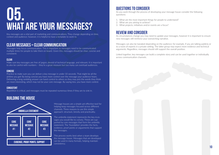Key messages are a vital part of marketing and communications. They change depending on time, context and audience; however, it is helpful to have a template to work to.

# Clear messages = clear communication

Messages help focus communication. This is important as messages need to be communicated multiple times for people to take them on board. Given this, messages should be clear, concise and consistent:

### **CLEAR**

Make sure key messages are free of jargon, devoid of technical language, and relevant. It is important to also be careful with numbers – they're a great measure but too many can overload audiences.

#### **CONCISE**

# WHAT ARE YOUR MESSAGES? 05.

Practice to make sure you can deliver a key message in under 10 seconds. That might be all the airtime you get! By being concise you have more control over the message your audience hears. Delivering a long rambling answer can hand control to others as they may pick the words they think are most interesting, which may not be your core message. By saying less, you have more control.

#### **CONSISTENT**

Repetition is critical, and messages must be repeated numerous times if they are to sink in.

# BUILDing the HOUSE



Message houses are a simple yet effective tool for helping keep messages focused across different channels. Three reasons to use this simple approach: structure, brevity and practicality.

The umbrella statement represents the key m.essages you would like to convey. These are supported by core messages that form the umbrella statement. The 'foundation' provides the facts, evidence, proof points or arguements that support the messages.

This process works best when a team develops the message house. Messages that are developed can be used in many formats, helping maintain consistency.

# Questions to consider

As you work through the process of developing your message house consider the following questions:

- 1. What are the most important things for people to understand?
- 2. What are you aiming to achieve?
- 3. What projects, initiatives and/or events are a focus?

# Review and consider

As circumstances change you may need to update your messages, however it is important to ensure new messages still reinforce your overarching narrative.

Messages can also be tweaked depending on the audience; for example, if you are talking publicly or to a room of experts in a private setting. The latter group may expect more evidence and technical arguments. Regardless, messages should still support the overall position.

Linked together, key messages can build a complete story and can be used together or individually across communication channels.

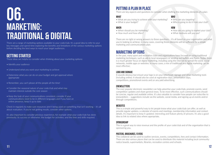There are a range of marketing options available to your code/club. It's a good idea to refer to your key messages and spend time exploring the benefits and limitations of the various marketing options before deciding the best ways to reach your target audiences.

# Getting started

These ideas are helpful to consider when thinking about your marketing options:

- Identify your audience
- Understand what you want your marketing to achieve
- Determine what you can do on your budget and get approval where appropriate
- Remember, you can't please all the people all the time!
- Consider the seasonal nature of your code/club and what may maintain interest outside the core season
- Keep the look of your communications consistent, consider if your communications need to be in different languages and if you have an online presence, keep it up to date
- What are you trying to achieve with your marketing?
- What is your budget?

#### **WHEN**

- When should you be marketing?
- How much and how often?
- How are you going to market your club?
- What mediums will you use?

Check in regularly to make sure resources aren't being used on something that isn't working – it's all about evaluation. If you're not getting results, consider other options.

It's also important to consider previous experience, for example what your code/club has done previously; its success or otherwise; the budget for activities; and the time and skills required.

# PUTTING A PLAN IN PLACE

# 06. **MARKETING:** Traditional & Digital

There are key aspects and questions to consider when drafting the marketing elements of a plan:

#### **WHAT**

#### How

There are no right or wrong answers to these questions – it's all based on your organisation and what you're looking to achieve. In many cases, covering these elements will be sufficient for a simple marketing and communications plan.

# Marketing options

In the past, many sport and recreation clubs and organisations have focused on using traditional marketing techniques, such as ads in local newspapers or sending out leaflets and flyers. Today, there is a much greater focus on digital marketing, including using the internet to spread the word, social networks, mobile apps or websites. In many cases, a mix of traditional and digital marketing can be most effective:

#### Logo and signage

It sounds obvious but ensure your logo is on your letterhead, signage and other marketing tools (including online). It should also be used at registration days, presentation days, competitions, promotional events and on any paid advertising.

#### **ENEWSLETTERS**

The ever-popular electronic newsletter can help advertise your code/club, promote events, send competition updates and share general news. To be most effective, such communications should be concise, regular and available online. It's also valuable to consider how people can subscribe to enewsletters – suggestions include via the website, social media, and signing up at events and/or through competitions.

### **WEBSITES**

This is a simple and powerful way to let people know what your code/club can offer, as well as provide regular updates, a calendar of events and meetings, membership information and contact details. It's important to keep it updated, interesting and feature plenty of pictures. It's also a good idea to link to related sites where appropriate.

#### **SPONSORSHIP**

This is a great way to raise revenue and the profile of your code/club and of the organisation that is sponsoring you.

#### Posters, brochures, flyers

This collateral can be used to outline services, events, competitions, fees and contact information. There are also various places that can be used to distribute this material including local community notice boards, supermarkets, libraries, recreation centres and schools.

### **WHO**

- Who are you targeting?
- Who is going to do it from your club?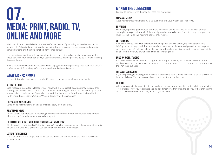Media relations is potentially the most cost-effective means of promoting your code/club and its activities. If it's handled poorly, it can be damaging, however generally a well-considered proactive communications effort can be beneficial for your code/club.

The media is our interface with a range of audiences – and with today's media networks and the speed at which information can travel, a story and/or issue has the potential to be far wider reaching than ever before.

From a sport and recreation perspective, media engagement can significantly raise your code's/club's profile, help with fundraising efforts and advertise activities and events.

# WHAT MAKES NEWS?

You may think what makes news is straightforward – here are some ideas to keep in mind:

#### Keeping it local

What journalists write is called 'editorial coverage' - you have no control over the content of editorial coverage. Advertising is space that you pay for and you control the message.

# Media: print, radio, tv, online and more MAKING THE CONNECTION<br>Looking to connect with the media?<br>SLOW AND STEADY<br>Good relationships with media build

Local media are interested in local news, or news with a local aspect, because it may increase their listening audience or readership, and therefore their advertising influence - it's worth noting that the news media generally survive financially on advertising. Local media includes publications like the North Shore Times, Eastern Courier, Western Leader and The Aucklander.

#### The value of advertising

Some media regard placing an ad and offering a story more positively.

# What makes news

Journalists are not interested in reporting on events/stories that are too commercial. Furthermore, what you consider to be news, a journalist may not.

### The difference between editorial coverage and advertising

# Letters to the editor

Where appropriate, be accessible to the media and answer questions directly (i.e. talk in 'sound bites') – if journalists know you're accessible and a good interview, they'll tend to call you rather than testing out an unknown source when they're on a tight deadline.

This is an effective and simple way to engage the media and community if the topic is relevant to your code/club.

Looking to connect with the media? These tips may assist:

### Slow and steady

Good relationships with media build up over time, and usually start at a local level.

# Be patient

Every day, reporters get hundreds of e-mails, dozens of phone calls, and stacks of 'high-priority' overnight packages - almost all of them are ignored as journalists are simply too busy to respond to, much less look at all the incoming pitches they receive.

# Get personal

A personal visit to the editor, chief reporter (of a paper) or news editor (of a radio station) for a briefing can start things well. The best step is to make an appointment and go with something (but not a huge amount!) to leave behind; this may include a club/organisation profile, summary of points on an issue, a brochure and/or calendar of key events/games.

### Build an understanding

Ask about deadlines for news and copy, the usual length of a story and types of photos that the media can use, and the names of the reporters on relevant 'rounds' - in other words get to know how they run their business.

### The local connection

If you're speaking to a local group or having a local event, send a media release or even an email to let local media know. You can always follow up with photos and a short brief.

# Be there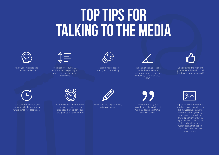# Top Tips For talking to the media



Know your message and know your audience.



Make sure headlines are punchy and not too long.



A picture paints a thousand words so make sure pictures are high resolution and fit with the story – you may also want to consider a photo opportunity; that is, to get media to your facility/ club to take pictures. It is worth noting that 'action' shots are preferable over 'posed' shots.

Don't be afraid to highlight good news – if you don't tell the story, maybe no one will!



Keep it short – 400-500 words is ideal, especially if you are also including on social media.



Find a unique angle – think outside the square when telling your story; is there a better way I can showcase this?

Use quotes if they add something to the article – it may be a statement from a coach or player.





Make sure spelling is correct, particularly names.



Get the important information in early; people tend to skim-read a lot so don't bury the good stuff at the bottom.





Keep your introduction (first paragraph) in the present or future tense, not past tense.

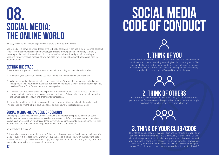It's easy to set up a Facebook page however there is more to it than that!

Social media is a commitment and takes time to build a following. It can add a more informal, personal touch to your communications and marketing and create a strong online community. Generally speaking, social media is accessible, quick, cost-effective and user friendly – before setting up accounts with every social media platform available, have a think about what options are right for your code/club.

# SETTING THE STAGE

There are some important questions to consider before building your social media profile:

- 1. How does your code/club want to use social media and what do you want to achieve?
- 2. What social media platforms (such as Facebook, Twitter, YouTube, Instagram, and LinkedIn) are most popular with your target audiences (for example members, players, parents, sponsors)? They may be different for different membership categories.
- 3. Who will administer your social media profile? It may be helpful to have an agreed number of people dedicated as 'admin' on a page to share the load – it's imperative these people following the agreed code of conduct and organisation's messages.

Social media provides excellent communication tools, however there are risks in the online world. This can include cyber bullying, causing offence and exposure to inappropriate content.

# Social Media Policy/Code of Conduct

To reinforce, people may feel that your opinions are reflective of your club/ code even if this is unintended. This is particularly relevant for RSOs and clubs with employees. If you do wish to express your opinions of the work your club/code is doing in any capacity, you are welcome to. However, you should firstly identify your connection and include a disclaimer along the 17 **17** lines of "The opinions expressed are my own and not those of club/code."





Developing a Social Media Policy/Code of Conduct is an important step to being safe on social media. As members/representatives of a code/club, we are by default ambassadors and therefore always have an association with this code/club even when online. Accordingly, people may feel that your opinions are reflective of your organisation even if this is unintended.

#### So, what does this mean?

This association doesn't mean that you can't hold an opinion or express freedom of speech on social media – even if it is related to the work that your club/code is doing. However, the following code of conduct (next page over) is helpful to apply to mitigate risk that can impact to your organisation – please also refer to further resources for an example.

# SOCIAL MEDIA CODE OF CONDUCT



# 08. SOCIAL MEDIA: the online world

# 1. Think of you

No one wants to be seen as a bad person. It is easy to find one another on social media and this is becoming increasingly easier as time goes on. You don't want what you post on social media in a personal capacity to come back and bite you in a professional capacity. Posting online is essentially chiseling into stone – even if you edit or delete the post.



# 2. Think of others

Just think that what one person might find funny is potentially another person's insult. Be courteous and respectful of other opinions that people may hold. We aren't all robots off a production line!



# 3. Think of your club/code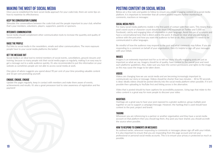# Making the most of Social Media

Once you've established the best social media approach for your code/club, there are some tips on how to maximise its effectiveness:

### Keep the conversation flowing

Stimulate the conversations between the code/club and the people important to your club, whether that's your members, volunteers, players, supporters, parents or sponsors.

#### Integrate communication

Social media should complement other communication tools to increase the quantity and quality of communication.

### Raise the profile

Put links to social media in the newsletters, emails and other communications. The more exposure people have to your social media platforms the better!

### Get the message out

Social media is an ideal tool to remind members of social events, cancellations, ground closures and training: because so many people visit their social media pages so regularly, making it an easy way to get a message out to a wide audience quickly. It's also recommended to put this information on your website as sometimes people are not able to access social media at work.

One piece of advice suggests you spend about 90 per cent of your time providing valuable content and 10 per cent promoting yourself.

### Engage, engage, engage

Update the pages regularly, keep in contact with members and make them aware of events, achievements and results. It's also a great preseason tool to raise awareness of registration and fee payment!

# Posting content on social media

Below are a few rules and guides to follow to ensure you create engaging content on a social media platform. It is important to remember that all content posted requires further monitoring of comments, reactions or messages:

#### Social media posts

For many social media platforms mobile is the first point of contact with their users. This means that a post's word count or character count should be short (140 maximum on Twitter and 5,000 on Facebook), catchy and engaging bites of information in plain language. Avoid the use of acronyms and have a conversational tone that is direct and to the point. It should be clear what you are trying to achieve with the post and how you want the audience to feel or do. Also, consider if it needs to be communicated in other languages.

Be mindful of how the audience may respond to the post and what comments may follow. If you are responding to a comment on behalf of your organisation, then it's helpful to sign off your messages with your initials.

### **IMAGES**

Imagery is an extremely important tool for us to tell our story. Visually engaging posts are just as important as what we say. Imagery should be of quality, have context to the overall post and meet each platforms' guidelines. Also, make sure you have the correct permissions and rights to the image, as this may cause the image to be taken down.

### **VIDEOS**

Videos are changing how we use social media and are becoming increasingly important to communicate our story or message. Videos should be shorter than two minutes – 30 to 90 seconds is ideal. Ideally videos should be posted directly into the social media platform when possible; if it isn't possible then uploading to YouTube first and linking across is the alternative.

Video that is posted should try have captions for accessibility purposes. Using tags that relate to the video content is a great way for more people to discover your video

#### **HASHTAGS**

Hashtags are a great way to have your post exposed to a greater audience, group multiple post together or use to support a campaign/message. However, the hashtag that is used should have context to the post, project and brand.

#### Tagging

Whenever you are referencing to a partner or another organisation and they have a social media account on that platform then you should tag them. Any post you have shared, you should accredit the source when possible.

### How to respond to comments or messages

As outlined earlier, whenever responding to comments or messages please sign off with your initials. It is also important to ensure that you are responding from the page account and not your professional or personal social media accounts. This is to ensure your privacy is protected as much as possible.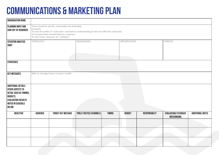# Communications & Marketing Plan

| ORGANISATION NAME                                                                                                                                             |                                                                                                                                                                                                                                                                                                           |                                           |                        |               |                     |                      |                                                 |                         |  |  |
|---------------------------------------------------------------------------------------------------------------------------------------------------------------|-----------------------------------------------------------------------------------------------------------------------------------------------------------------------------------------------------------------------------------------------------------------------------------------------------------|-------------------------------------------|------------------------|---------------|---------------------|----------------------|-------------------------------------------------|-------------------------|--|--|
| <b>PLANNING INPUT AND</b><br>SIGN-OFF (IF REQUIRED)                                                                                                           | These should be specific, measurable and achievable.<br>Examples:<br>To raise the profile of <club code=""> and build an understanding of what we offer the community<br/>To increase/retain memberships by <measure><br/>To raise funds <amount> for <initiative></initiative></amount></measure></club> |                                           |                        |               |                     |                      |                                                 |                         |  |  |
| <b>SITUATION ANALYSIS</b><br><b>SWOT</b>                                                                                                                      | STRENGTHS                                                                                                                                                                                                                                                                                                 |                                           | WEAKNESSES             |               | <b>OPPORTUNTIES</b> |                      | <b>THREATS</b>                                  |                         |  |  |
| <b>STRATEGIES</b>                                                                                                                                             |                                                                                                                                                                                                                                                                                                           |                                           |                        |               |                     |                      |                                                 |                         |  |  |
| <b>KEY MESSAGES</b>                                                                                                                                           |                                                                                                                                                                                                                                                                                                           | Refer to message house concept in toolkit |                        |               |                     |                      |                                                 |                         |  |  |
| <b>ADDITIONAL DETAILS</b><br>OTHER ASPECTS TO<br>DETAIL SUCH AS TIMINGS,<br><b>BUDGETS,</b><br><b>EVALUATION/RESULTS</b><br>NOTED IN SCHEDULE<br><b>BELOW</b> |                                                                                                                                                                                                                                                                                                           |                                           |                        |               |                     |                      |                                                 |                         |  |  |
| <b>OBJECTIVE</b>                                                                                                                                              | <b>AUDIENCE</b>                                                                                                                                                                                                                                                                                           | <b>TARGET KEY MESSAGE</b>                 | TOOLS/TACTICS/CHANNELS | <b>TIMING</b> | <b>BUDGET</b>       | <b>RESPONSIBILTY</b> | <b>EVALUATION/FEEDBACK</b><br><b>MECHANISMS</b> | <b>ADDITIONAL NOTES</b> |  |  |
|                                                                                                                                                               |                                                                                                                                                                                                                                                                                                           |                                           |                        |               |                     |                      |                                                 |                         |  |  |
|                                                                                                                                                               |                                                                                                                                                                                                                                                                                                           |                                           |                        |               |                     |                      |                                                 |                         |  |  |
|                                                                                                                                                               |                                                                                                                                                                                                                                                                                                           |                                           |                        |               |                     | a sa                 |                                                 | $\sim$ $\sim$           |  |  |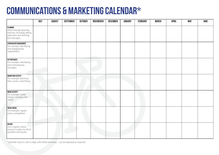# Communications & Marketing Calendar\*

|                                                                                                              | <b>JULY</b> | <b>AUGUST</b> | <b>SEPTEMBER</b> | <b>OCTOBER</b> | <b>NOVEMEBER</b> | <b>DECEMBER</b> | <b>JANUARY</b> | <b>FEBRUARY</b> | <b>MARCH</b> | <b>APRIL</b> | <b>MAY</b> | <b>JUNE</b> |
|--------------------------------------------------------------------------------------------------------------|-------------|---------------|------------------|----------------|------------------|-----------------|----------------|-----------------|--------------|--------------|------------|-------------|
| PLANNING<br>Work through planning<br>exercise, including setting<br>objectives and defining<br>key messages. |             |               |                  |                |                  |                 |                |                 |              |              |            |             |
| STAKEHOLDER ENGAGEMENT<br>For example, identifying<br>and engaging key<br>stakeholders                       |             |               |                  |                |                  |                 |                |                 |              |              |            |             |
| <b>KEY MESSAGES</b><br>For example, developing<br>and reviewing key<br>messages                              |             |               |                  |                |                  |                 |                |                 |              |              |            |             |
| <b>MARKETING ACTIVITY</b><br>For example, brochure,<br>flyer, poster, advertising                            |             |               |                  |                |                  |                 |                |                 |              |              |            |             |
| <b>MEDIA ACTIVITY</b><br>For example, media<br>release, meeting with<br>media                                |             |               |                  |                |                  |                 |                |                 |              |              |            |             |
| SOCIAL MEDIA<br>For example, regular<br>posts, competition                                                   |             |               |                  |                |                  |                 |                |                 |              |              |            |             |
| <b>REVIEW</b><br>Put a regular review<br>process in place to check<br>activities and results                 |             |               |                  |                |                  |                 |                |                 |              |              |            |             |

\* Calendar starts in July to align with initial workshop – can be adjusted as required.